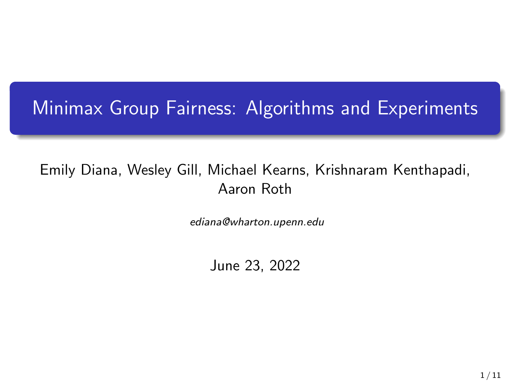## Minimax Group Fairness: Algorithms and Experiments

#### Emily Diana, Wesley Gill, Michael Kearns, Krishnaram Kenthapadi, Aaron Roth

ediana@wharton.upenn.edu

June 23, 2022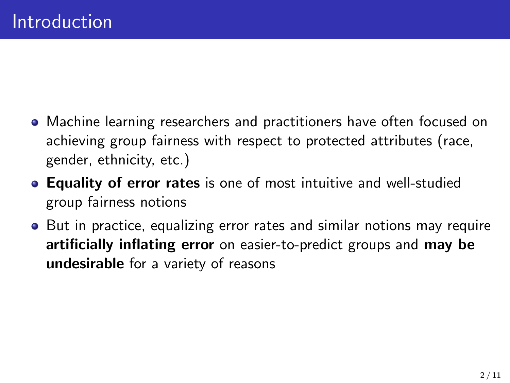- Machine learning researchers and practitioners have often focused on achieving group fairness with respect to protected attributes (race, gender, ethnicity, etc.)
- Equality of error rates is one of most intuitive and well-studied group fairness notions
- But in practice, equalizing error rates and similar notions may require artificially inflating error on easier-to-predict groups and may be undesirable for a variety of reasons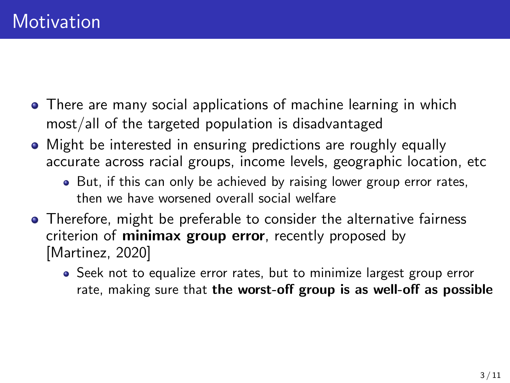- There are many social applications of machine learning in which most/all of the targeted population is disadvantaged
- Might be interested in ensuring predictions are roughly equally accurate across racial groups, income levels, geographic location, etc
	- But, if this can only be achieved by raising lower group error rates, then we have worsened overall social welfare
- Therefore, might be preferable to consider the alternative fairness criterion of **minimax group error**, recently proposed by [\[Martinez, 2020\]](#page-10-0)
	- Seek not to equalize error rates, but to minimize largest group error rate, making sure that the worst-off group is as well-off as possible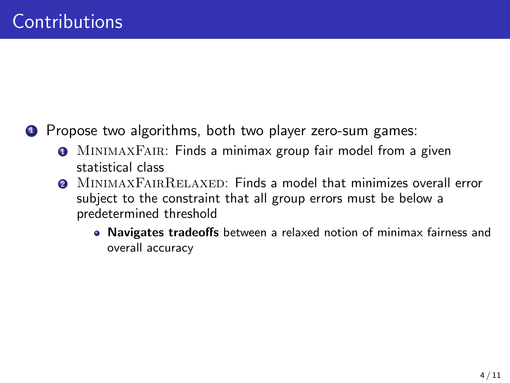**1** Propose two algorithms, both two player zero-sum games:

- **O** MINIMAXFAIR: Finds a minimax group fair model from a given statistical class
- **2** MINIMAXFAIRRELAXED: Finds a model that minimizes overall error subject to the constraint that all group errors must be below a predetermined threshold
	- Navigates tradeoffs between a relaxed notion of minimax fairness and overall accuracy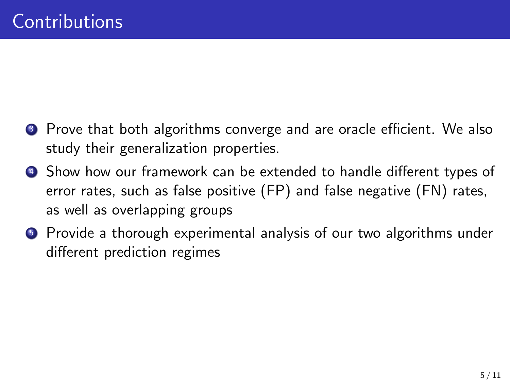- **3** Prove that both algorithms converge and are oracle efficient. We also study their generalization properties.
- **4** Show how our framework can be extended to handle different types of error rates, such as false positive (FP) and false negative (FN) rates, as well as overlapping groups
- <sup>5</sup> Provide a thorough experimental analysis of our two algorithms under different prediction regimes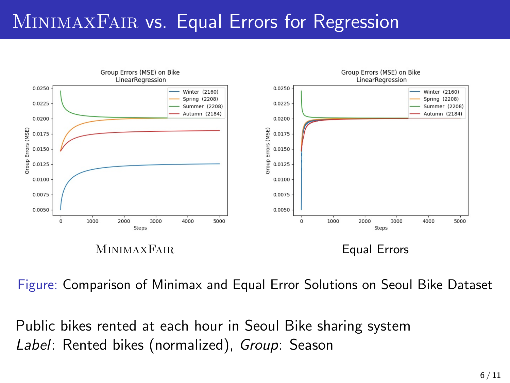## MINIMAXFAIR vs. Equal Errors for Regression



Figure: Comparison of Minimax and Equal Error Solutions on Seoul Bike Dataset

Public bikes rented at each hour in Seoul Bike sharing system Label: Rented bikes (normalized), Group: Season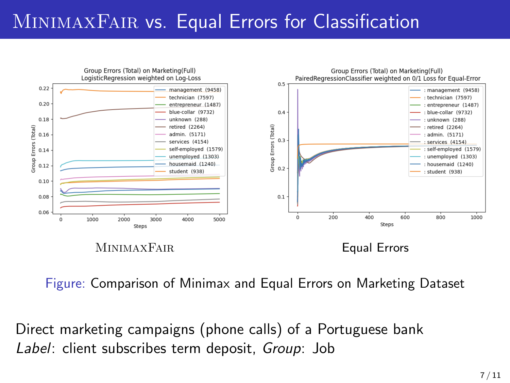# MINIMAXFAIR vs. Equal Errors for Classification



Figure: Comparison of Minimax and Equal Errors on Marketing Dataset

Direct marketing campaigns (phone calls) of a Portuguese bank Label: client subscribes term deposit, Group: Job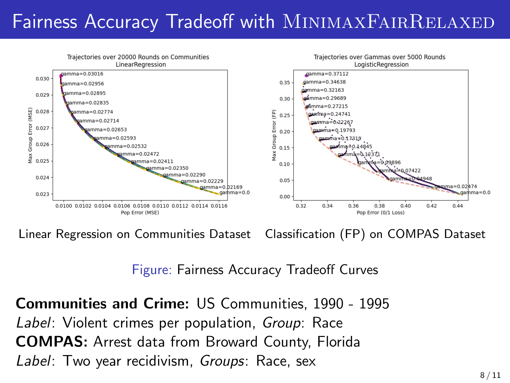# Fairness Accuracy Tradeoff with MINIMAXFAIRRELAXED



Linear Regression on Communities Dataset Classification (FP) on COMPAS Dataset

Figure: Fairness Accuracy Tradeoff Curves

Communities and Crime: US Communities, 1990 - 1995 Label: Violent crimes per population, Group: Race COMPAS: Arrest data from Broward County, Florida Label: Two year recidivism, Groups: Race, sex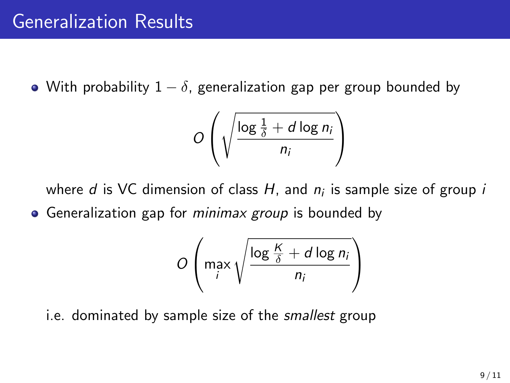• With probability  $1 - \delta$ , generalization gap per group bounded by

$$
O\left(\sqrt{\frac{\log \frac{1}{\delta} + d \log n_i}{n_i}}\right)
$$

where  $d$  is VC dimension of class  $H$ , and  $n_i$  is sample size of group  $i$ • Generalization gap for *minimax group* is bounded by

$$
O\left(\max_i \sqrt{\frac{\log \frac{K}{\delta} + d \log n_i}{n_i}}\right)
$$

i.e. dominated by sample size of the *smallest* group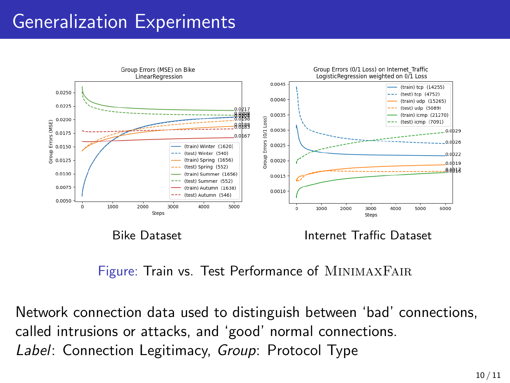# Generalization Experiments



Figure: Train vs. Test Performance of MINIMAXFAIR

Network connection data used to distinguish between 'bad' connections, called intrusions or attacks, and 'good' normal connections. Label: Connection Legitimacy, Group: Protocol Type